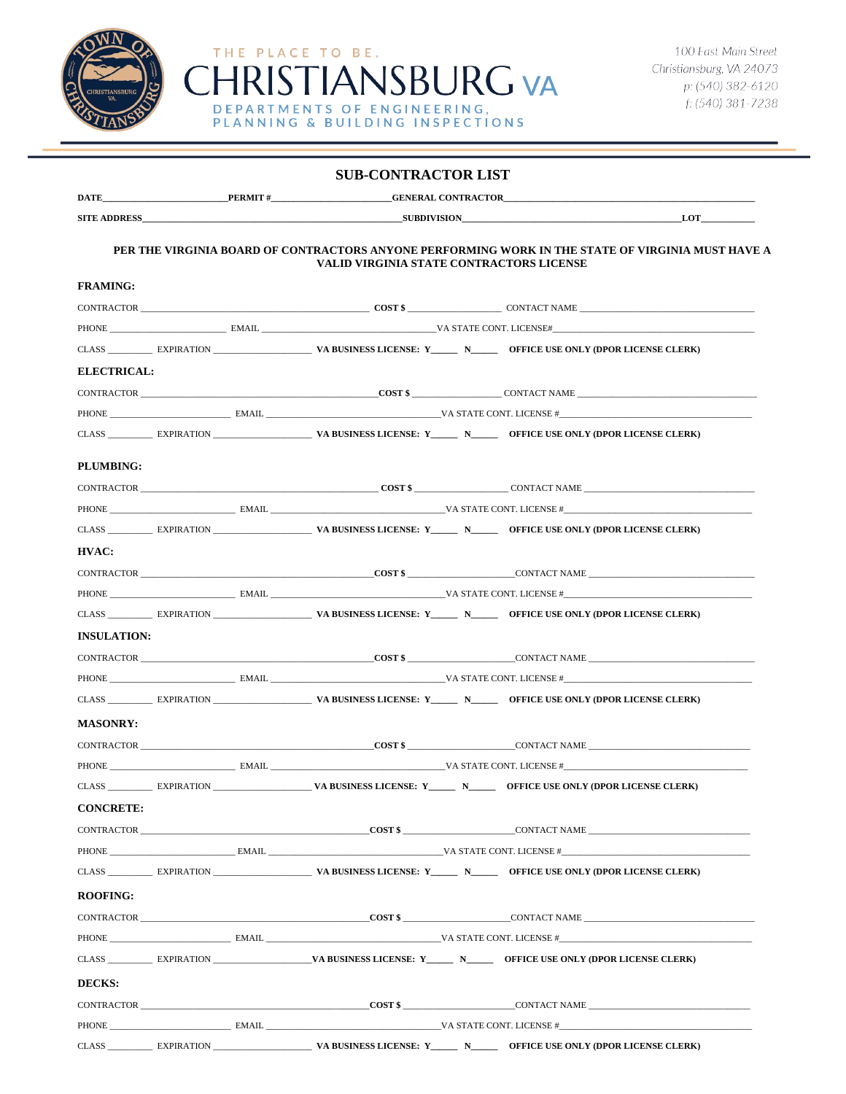

| <b>SUB-CONTRACTOR LIST</b>                                                                                                                           |  |  |  |                     |                                                                                                                                        |  |  |  |
|------------------------------------------------------------------------------------------------------------------------------------------------------|--|--|--|---------------------|----------------------------------------------------------------------------------------------------------------------------------------|--|--|--|
|                                                                                                                                                      |  |  |  |                     | <b>DATE PERMIT # CENERAL CONTRACTOR</b>                                                                                                |  |  |  |
|                                                                                                                                                      |  |  |  | SUBDIVISION LOT LOT |                                                                                                                                        |  |  |  |
| PER THE VIRGINIA BOARD OF CONTRACTORS ANYONE PERFORMING WORK IN THE STATE OF VIRGINIA MUST HAVE A<br><b>VALID VIRGINIA STATE CONTRACTORS LICENSE</b> |  |  |  |                     |                                                                                                                                        |  |  |  |
| <b>FRAMING:</b>                                                                                                                                      |  |  |  |                     |                                                                                                                                        |  |  |  |
|                                                                                                                                                      |  |  |  |                     | CONTRACTOR CONTRACTOR CONTRACTOR CONTRACTOR                                                                                            |  |  |  |
|                                                                                                                                                      |  |  |  |                     | PHONE EMAIL EMAIL WAS TATE CONT. LICENSE#                                                                                              |  |  |  |
|                                                                                                                                                      |  |  |  |                     |                                                                                                                                        |  |  |  |
| <b>ELECTRICAL:</b>                                                                                                                                   |  |  |  |                     |                                                                                                                                        |  |  |  |
|                                                                                                                                                      |  |  |  |                     | CONTRACTOR CONTRACTOR CONTRACTOR CONTRACTOR                                                                                            |  |  |  |
|                                                                                                                                                      |  |  |  |                     |                                                                                                                                        |  |  |  |
|                                                                                                                                                      |  |  |  |                     | CLASS EXPIRATION EXPIRATION VA BUSINESS LICENSE: Y NO OFFICE USE ONLY (DPOR LICENSE CLERK)                                             |  |  |  |
| PLUMBING:                                                                                                                                            |  |  |  |                     |                                                                                                                                        |  |  |  |
|                                                                                                                                                      |  |  |  |                     |                                                                                                                                        |  |  |  |
|                                                                                                                                                      |  |  |  |                     | PHONE EMAIL EMAIL VA STATE CONT. LICENSE #                                                                                             |  |  |  |
|                                                                                                                                                      |  |  |  |                     | CLASS EXPIRATION WE ARRIVES LICENSE: Y NO OFFICE USE ONLY (DPOR LICENSE CLERK)                                                         |  |  |  |
| HVAC:                                                                                                                                                |  |  |  |                     |                                                                                                                                        |  |  |  |
|                                                                                                                                                      |  |  |  |                     |                                                                                                                                        |  |  |  |
|                                                                                                                                                      |  |  |  |                     | PHONE EMAIL EMAIL VA STATE CONT. LICENSE #                                                                                             |  |  |  |
|                                                                                                                                                      |  |  |  |                     |                                                                                                                                        |  |  |  |
| <b>INSULATION:</b>                                                                                                                                   |  |  |  |                     |                                                                                                                                        |  |  |  |
|                                                                                                                                                      |  |  |  |                     | CONTRACTOR CONTRACTOR CONTRACTOR CONTRACTOR                                                                                            |  |  |  |
|                                                                                                                                                      |  |  |  |                     |                                                                                                                                        |  |  |  |
|                                                                                                                                                      |  |  |  |                     | CLASS EXPIRATION EXPIRATION VA BUSINESS LICENSE: Y NO OFFICE USE ONLY (DPOR LICENSE CLERK)                                             |  |  |  |
| <b>MASONRY:</b>                                                                                                                                      |  |  |  |                     |                                                                                                                                        |  |  |  |
|                                                                                                                                                      |  |  |  |                     | CONTRACTOR CONTEXACTOR CONTEXACTOR CONTEXACTOR CONTEXACTOR                                                                             |  |  |  |
|                                                                                                                                                      |  |  |  |                     |                                                                                                                                        |  |  |  |
|                                                                                                                                                      |  |  |  |                     | CLASS _____________ EXPIRATION ________________________VA BUSINESS LICENSE: Y__________ N________ OFFICE USE ONLY (DPOR LICENSE CLERK) |  |  |  |
| <b>CONCRETE:</b>                                                                                                                                     |  |  |  |                     |                                                                                                                                        |  |  |  |
|                                                                                                                                                      |  |  |  |                     |                                                                                                                                        |  |  |  |
|                                                                                                                                                      |  |  |  |                     |                                                                                                                                        |  |  |  |
|                                                                                                                                                      |  |  |  |                     | CLASS EXPIRATION VA BUSINESS LICENSE: Y N CHECE USE ONLY (DPOR LICENSE CLERK)                                                          |  |  |  |
| <b>ROOFING:</b>                                                                                                                                      |  |  |  |                     |                                                                                                                                        |  |  |  |
|                                                                                                                                                      |  |  |  |                     | CONTRACTOR CONTRACTOR CONTRACTOR CONTRACTOR                                                                                            |  |  |  |
|                                                                                                                                                      |  |  |  |                     | PHONE EMAIL EMAIL EMAIL STATE CONT. LICENSE #                                                                                          |  |  |  |
|                                                                                                                                                      |  |  |  |                     | CLASS EXPIRATION VA BUSINESS LICENSE: Y NO OFFICE USE ONLY (DPOR LICENSE CLERK)                                                        |  |  |  |
| DECKS:                                                                                                                                               |  |  |  |                     |                                                                                                                                        |  |  |  |
|                                                                                                                                                      |  |  |  |                     |                                                                                                                                        |  |  |  |
|                                                                                                                                                      |  |  |  |                     |                                                                                                                                        |  |  |  |
|                                                                                                                                                      |  |  |  |                     |                                                                                                                                        |  |  |  |